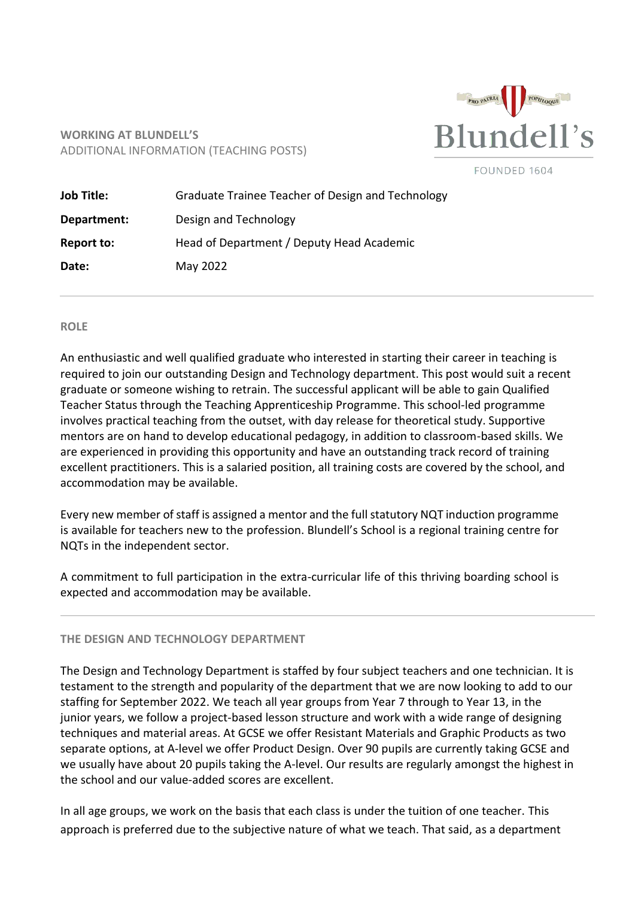

# **WORKING AT BLUNDELL'S** ADDITIONAL INFORMATION (TEACHING POSTS)

|  |  |  |  | FOUNDED 1604 |
|--|--|--|--|--------------|
|--|--|--|--|--------------|

| <b>Job Title:</b> | Graduate Trainee Teacher of Design and Technology |  |
|-------------------|---------------------------------------------------|--|
| Department:       | Design and Technology                             |  |
| Report to:        | Head of Department / Deputy Head Academic         |  |
| Date:             | May 2022                                          |  |

#### **ROLE**

An enthusiastic and well qualified graduate who interested in starting their career in teaching is required to join our outstanding Design and Technology department. This post would suit a recent graduate or someone wishing to retrain. The successful applicant will be able to gain Qualified Teacher Status through the Teaching Apprenticeship Programme. This school-led programme involves practical teaching from the outset, with day release for theoretical study. Supportive mentors are on hand to develop educational pedagogy, in addition to classroom-based skills. We are experienced in providing this opportunity and have an outstanding track record of training excellent practitioners. This is a salaried position, all training costs are covered by the school, and accommodation may be available.

Every new member of staff is assigned a mentor and the full statutory NQT induction programme is available for teachers new to the profession. Blundell's School is a regional training centre for NQTs in the independent sector.

A commitment to full participation in the extra-curricular life of this thriving boarding school is expected and accommodation may be available.

#### **THE DESIGN AND TECHNOLOGY DEPARTMENT**

The Design and Technology Department is staffed by four subject teachers and one technician. It is testament to the strength and popularity of the department that we are now looking to add to our staffing for September 2022. We teach all year groups from Year 7 through to Year 13, in the junior years, we follow a project-based lesson structure and work with a wide range of designing techniques and material areas. At GCSE we offer Resistant Materials and Graphic Products as two separate options, at A-level we offer Product Design. Over 90 pupils are currently taking GCSE and we usually have about 20 pupils taking the A-level. Our results are regularly amongst the highest in the school and our value-added scores are excellent.

In all age groups, we work on the basis that each class is under the tuition of one teacher. This approach is preferred due to the subjective nature of what we teach. That said, as a department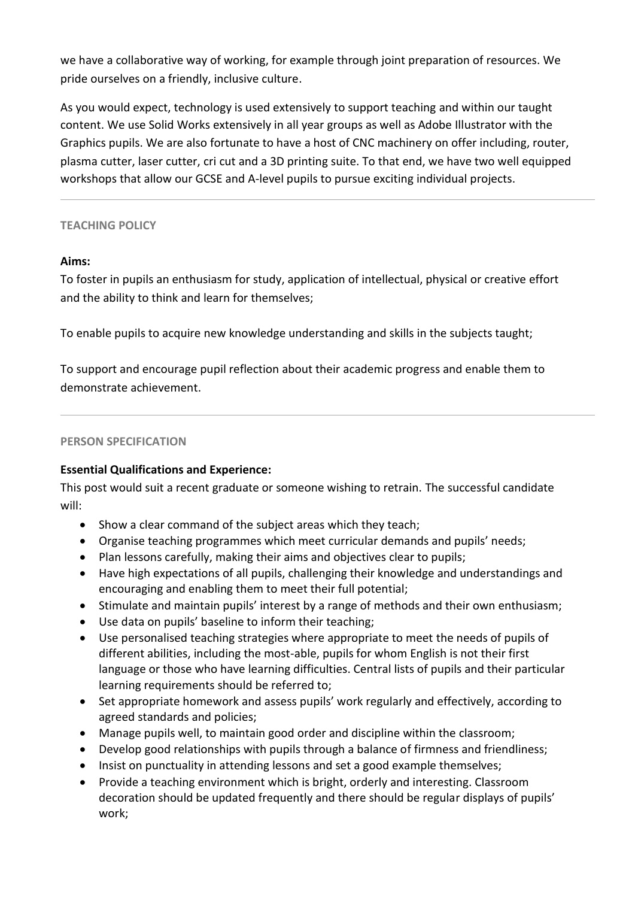we have a collaborative way of working, for example through joint preparation of resources. We pride ourselves on a friendly, inclusive culture.

As you would expect, technology is used extensively to support teaching and within our taught content. We use Solid Works extensively in all year groups as well as Adobe Illustrator with the Graphics pupils. We are also fortunate to have a host of CNC machinery on offer including, router, plasma cutter, laser cutter, cri cut and a 3D printing suite. To that end, we have two well equipped workshops that allow our GCSE and A-level pupils to pursue exciting individual projects.

## **TEACHING POLICY**

## **Aims:**

To foster in pupils an enthusiasm for study, application of intellectual, physical or creative effort and the ability to think and learn for themselves;

To enable pupils to acquire new knowledge understanding and skills in the subjects taught;

To support and encourage pupil reflection about their academic progress and enable them to demonstrate achievement.

### **PERSON SPECIFICATION**

# **Essential Qualifications and Experience:**

This post would suit a recent graduate or someone wishing to retrain. The successful candidate will:

- Show a clear command of the subject areas which they teach;
- Organise teaching programmes which meet curricular demands and pupils' needs;
- Plan lessons carefully, making their aims and objectives clear to pupils;
- Have high expectations of all pupils, challenging their knowledge and understandings and encouraging and enabling them to meet their full potential;
- Stimulate and maintain pupils' interest by a range of methods and their own enthusiasm;
- Use data on pupils' baseline to inform their teaching;
- Use personalised teaching strategies where appropriate to meet the needs of pupils of different abilities, including the most-able, pupils for whom English is not their first language or those who have learning difficulties. Central lists of pupils and their particular learning requirements should be referred to;
- Set appropriate homework and assess pupils' work regularly and effectively, according to agreed standards and policies;
- Manage pupils well, to maintain good order and discipline within the classroom;
- Develop good relationships with pupils through a balance of firmness and friendliness;
- Insist on punctuality in attending lessons and set a good example themselves;
- Provide a teaching environment which is bright, orderly and interesting. Classroom decoration should be updated frequently and there should be regular displays of pupils' work;